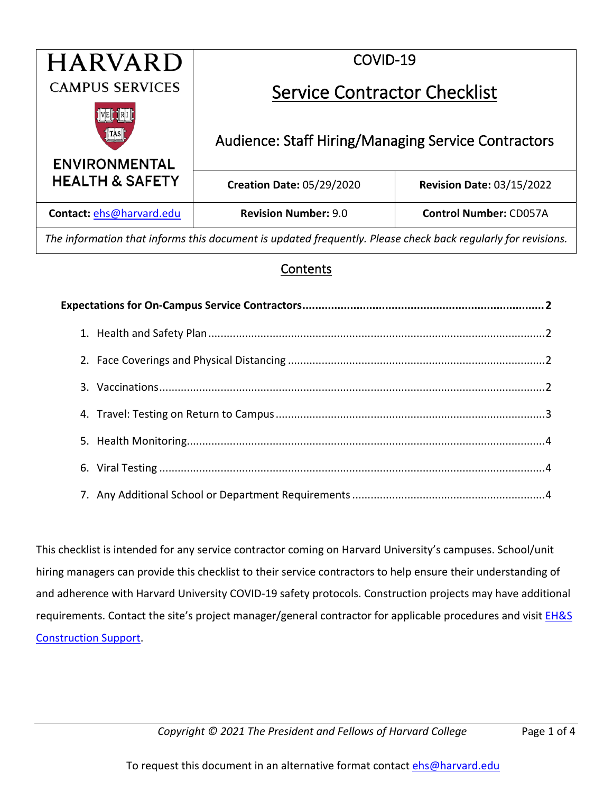| <b>HARVARD</b>                | COVID-19                                                   |                                  |
|-------------------------------|------------------------------------------------------------|----------------------------------|
| <b>CAMPUS SERVICES</b>        | <b>Service Contractor Checklist</b>                        |                                  |
| [TAS]<br><b>ENVIRONMENTAL</b> | <b>Audience: Staff Hiring/Managing Service Contractors</b> |                                  |
| <b>HEALTH &amp; SAFETY</b>    | <b>Creation Date: 05/29/2020</b>                           | <b>Revision Date: 03/15/2022</b> |
| Contact: ehs@harvard.edu      | <b>Revision Number: 9.0</b>                                | <b>Control Number: CD057A</b>    |

*The information that informs this document is updated frequently. Please check back regularly for revisions.*

#### Contents

This checklist is intended for any service contractor coming on Harvard University's campuses. School/unit hiring managers can provide this checklist to their service contractors to help ensure their understanding of and adherence with Harvard University COVID-19 safety protocols. Construction projects may have additional requirements. Contact the site's project manager/general contractor for applicable procedures and visit **EH&S** [Construction Support.](https://www.ehs.harvard.edu/construction-support)

*Copyright © 2021 The President and Fellows of Harvard College* Page 1 of 4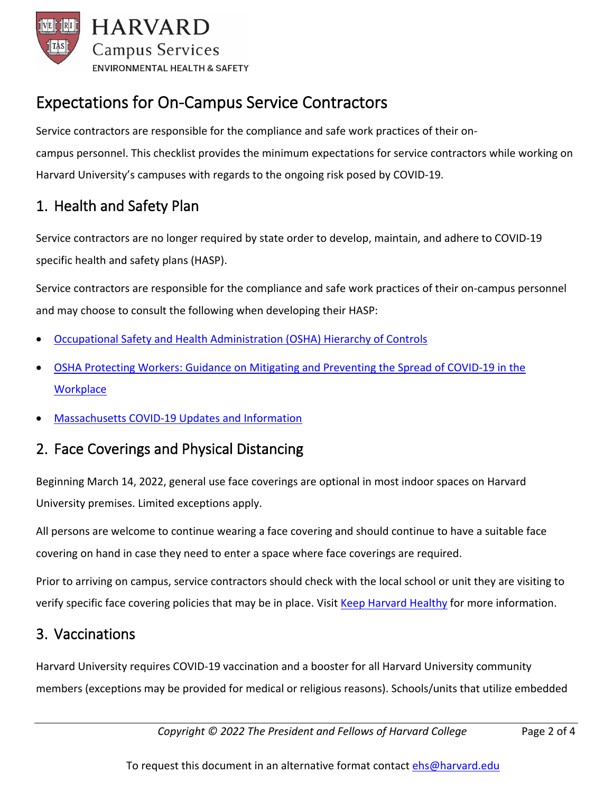

# <span id="page-1-0"></span>Expectations for On-Campus Service Contractors

Service contractors are responsible for the compliance and safe work practices of their oncampus personnel. This checklist provides the minimum expectations for service contractors while working on Harvard University's campuses with regards to the ongoing risk posed by COVID-19.

### <span id="page-1-1"></span>1. Health and Safety Plan

Service contractors are no longer required by state order to develop, maintain, and adhere to COVID-19 specific health and safety plans (HASP).

Service contractors are responsible for the compliance and safe work practices of their on-campus personnel and may choose to consult the following when developing their HASP:

- [Occupational Safety and Health Administration \(OSHA\) Hierarchy of Controls](https://www.osha.gov/shpguidelines/hazard-prevention.html)
- [OSHA Protecting Workers: Guidance on Mitigating and Preventing the Spread of COVID-19 in the](https://www.osha.gov/coronavirus/safework)  **[Workplace](https://www.osha.gov/coronavirus/safework)**
- Massachusetts COVID-19 [Updates and Information](https://www.mass.gov/info-details/covid-19-updates-and-information)

#### <span id="page-1-2"></span>2. Face Coverings and Physical Distancing

Beginning March 14, 2022, general use face coverings are optional in most indoor spaces on Harvard University premises. Limited exceptions apply.

All persons are welcome to continue wearing a face covering and should continue to have a suitable face covering on hand in case they need to enter a space where face coverings are required.

Prior to arriving on campus, service contractors should check with the local school or unit they are visiting to verify specific face covering policies that may be in place. Visit [Keep Harvard Healthy](https://www.harvard.edu/coronavirus/) for more information.

#### <span id="page-1-3"></span>3. Vaccinations

Harvard University requires COVID-19 vaccination and a booster for all Harvard University community members (exceptions may be provided for medical or religious reasons). Schools/units that utilize embedded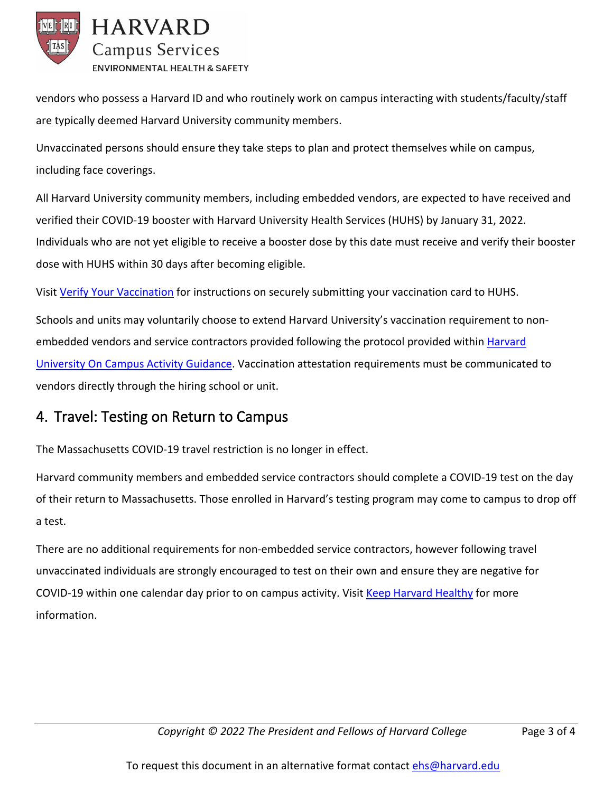

vendors who possess a Harvard ID and who routinely work on campus interacting with students/faculty/staff are typically deemed Harvard University community members.

Unvaccinated persons should ensure they take steps to plan and protect themselves while on campus, including face coverings.

All Harvard University community members, including embedded vendors, are expected to have received and verified their COVID-19 booster with Harvard University Health Services (HUHS) by January 31, 2022. Individuals who are not yet eligible to receive a booster dose by this date must receive and verify their booster dose with HUHS within 30 days after becoming eligible.

Visit [Verify Your Vaccination](https://www.harvard.edu/coronavirus/verify-your-vaccination/?utm_source=SilverpopMailing&utm_medium=email&utm_campaign=June%202021%20Newsletter%20(1)) for instructions on securely submitting your vaccination card to HUHS.

Schools and units may voluntarily choose to extend Harvard University's vaccination requirement to nonembedded vendors and service contractors provided following the protocol provided within [Harvard](https://www.ehs.harvard.edu/covid-19-resources/secure/activity-workplace-planning)  [University On Campus Activity Guidance.](https://www.ehs.harvard.edu/covid-19-resources/secure/activity-workplace-planning) Vaccination attestation requirements must be communicated to vendors directly through the hiring school or unit.

### <span id="page-2-0"></span>4. Travel: Testing on Return to Campus

The Massachusetts COVID-19 travel restriction is no longer in effect.

Harvard community members and embedded service contractors should complete a COVID-19 test on the day of their return to Massachusetts. Those enrolled in Harvard's testing program may come to campus to drop off a test.

There are no additional requirements for non-embedded service contractors, however following travel unvaccinated individuals are strongly encouraged to test on their own and ensure they are negative for COVID-19 within one calendar day prior to on campus activity. Visit [Keep Harvard Healthy](https://www.harvard.edu/coronavirus/) for more information.